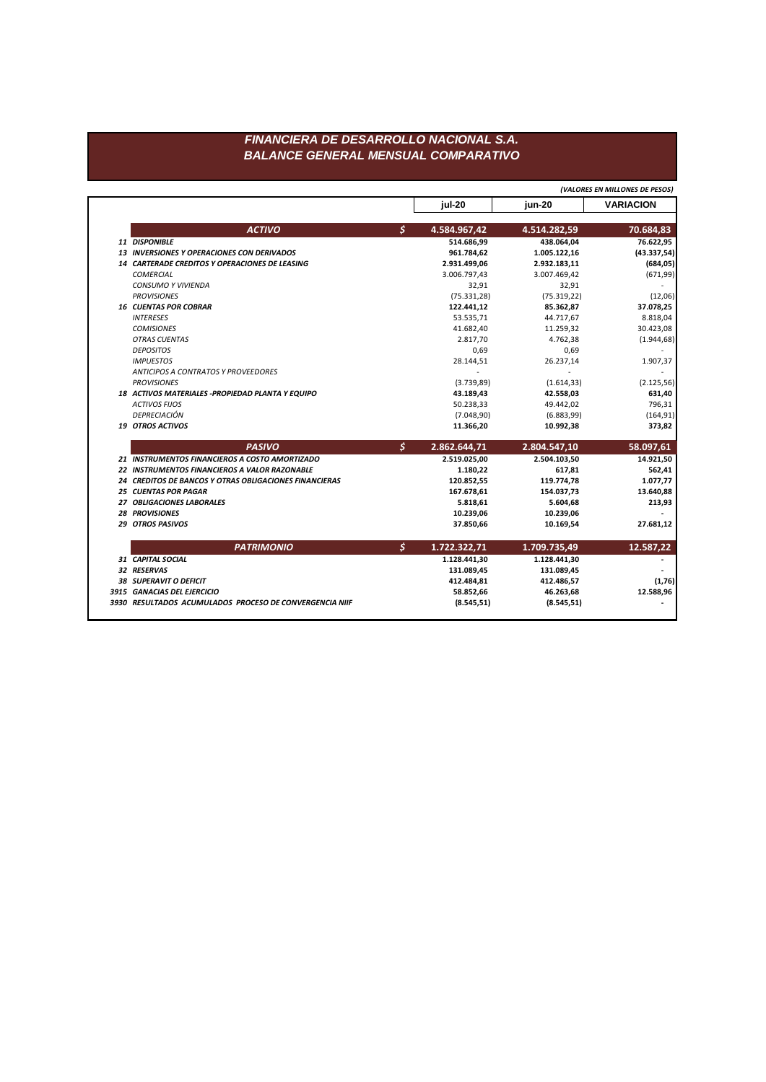## FINANCIERA DE DESARROLLO NACIONAL S.A. **BALANCE GENERAL MENSUAL COMPARATIVO**

|  |                                                               | (VALORES EN MILLONES DE PESOS) |              |                  |
|--|---------------------------------------------------------------|--------------------------------|--------------|------------------|
|  |                                                               | jul-20                         | jun-20       | <b>VARIACION</b> |
|  | <b>ACTIVO</b>                                                 | \$<br>4.584.967,42             | 4.514.282,59 | 70.684,83        |
|  | 11 DISPONIBLE                                                 | 514.686,99                     | 438.064,04   | 76.622,95        |
|  | 13 INVERSIONES Y OPERACIONES CON DERIVADOS                    | 961.784,62                     | 1.005.122,16 | (43.337,54)      |
|  | <b>14 CARTERADE CREDITOS Y OPERACIONES DE LEASING</b>         | 2.931.499,06                   | 2.932.183,11 | (684, 05)        |
|  | <b>COMERCIAL</b>                                              | 3.006.797,43                   | 3.007.469,42 | (671, 99)        |
|  | <b>CONSUMO Y VIVIENDA</b>                                     | 32,91                          | 32,91        |                  |
|  | <b>PROVISIONES</b>                                            | (75.331, 28)                   | (75.319, 22) | (12,06)          |
|  | <b>16 CUENTAS POR COBRAR</b>                                  | 122.441,12                     | 85.362,87    | 37.078,25        |
|  | <b>INTERESES</b>                                              | 53.535,71                      | 44.717,67    | 8.818,04         |
|  | <b>COMISIONES</b>                                             | 41.682,40                      | 11.259,32    | 30.423,08        |
|  | <b>OTRAS CUENTAS</b>                                          | 2.817,70                       | 4.762,38     | (1.944, 68)      |
|  | <b>DEPOSITOS</b>                                              | 0,69                           | 0,69         |                  |
|  | <b>IMPUESTOS</b>                                              | 28.144,51                      | 26.237,14    | 1.907,37         |
|  | <b>ANTICIPOS A CONTRATOS Y PROVEEDORES</b>                    |                                |              |                  |
|  | <b>PROVISIONES</b>                                            | (3.739, 89)                    | (1.614, 33)  | (2.125, 56)      |
|  | 18 ACTIVOS MATERIALES -PROPIEDAD PLANTA Y EQUIPO              | 43.189,43                      | 42.558,03    | 631,40           |
|  | <b>ACTIVOS FIJOS</b>                                          | 50.238,33                      | 49.442,02    | 796,31           |
|  | DEPRECIACIÓN                                                  | (7.048, 90)                    | (6.883, 99)  | (164, 91)        |
|  | <b>19 OTROS ACTIVOS</b>                                       | 11.366,20                      | 10.992,38    | 373,82           |
|  | <b>PASIVO</b>                                                 | \$<br>2.862.644,71             | 2.804.547,10 | 58.097,61        |
|  | 21 INSTRUMENTOS FINANCIEROS A COSTO AMORTIZADO                | 2.519.025,00                   | 2.504.103,50 | 14.921,50        |
|  | 22 INSTRUMENTOS FINANCIEROS A VALOR RAZONABLE                 | 1.180,22                       | 617,81       | 562,41           |
|  | <b>24 CREDITOS DE BANCOS Y OTRAS OBLIGACIONES FINANCIERAS</b> | 120.852,55                     | 119.774,78   | 1.077,77         |
|  | <b>25 CUENTAS POR PAGAR</b>                                   | 167.678,61                     | 154.037,73   | 13.640,88        |
|  | 27 OBLIGACIONES LABORALES                                     | 5.818,61                       | 5.604,68     | 213,93           |
|  | <b>28 PROVISIONES</b>                                         | 10.239,06                      | 10.239,06    |                  |
|  | <b>29 OTROS PASIVOS</b>                                       | 37.850,66                      | 10.169,54    | 27.681,12        |
|  | <b>PATRIMONIO</b>                                             | \$<br>1.722.322,71             | 1.709.735,49 | 12.587,22        |
|  | 31 CAPITAL SOCIAL                                             | 1.128.441,30                   | 1.128.441,30 |                  |
|  | 32 RESERVAS                                                   | 131.089,45                     | 131.089,45   |                  |
|  | 38 SUPERAVIT O DEFICIT                                        | 412.484,81                     | 412.486,57   | (1,76)           |
|  |                                                               |                                |              |                  |
|  | 3915 GANACIAS DEL EJERCICIO                                   | 58.852,66                      | 46.263,68    | 12.588,96        |